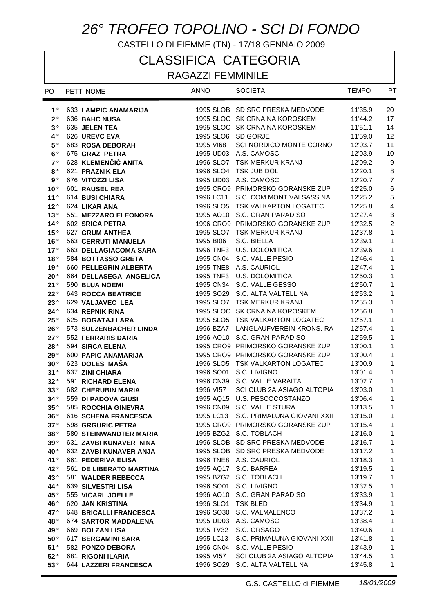# *26° TROFEO TOPOLINO - SCI DI FONDO*

CASTELLO DI FIEMME (TN) - 17/18 GENNAIO 2009

## CLASSIFICA CATEGORIA

### RAGAZZI FEMMINILE

| PO.             | PETT NOME                                    | <b>ANNO</b>        | <b>SOCIETA</b>                                                     | <b>TEMPO</b>       | PT                        |
|-----------------|----------------------------------------------|--------------------|--------------------------------------------------------------------|--------------------|---------------------------|
| $1^{\circ}$     | 633 LAMPIC ANAMARIJA                         |                    | 1995 SLOB SD SRC PRESKA MEDVODE                                    | 11'35.9            | 20                        |
| $2^{\circ}$     | 636 BAHC NUSA                                |                    | 1995 SLOC SK CRNA NA KOROSKEM                                      | 11'44.2            | 17                        |
| 3°              | 635 JELEN TEA                                |                    | 1995 SLOC SK CRNA NA KOROSKEM                                      | 11'51.1            | 14                        |
| $4^{\circ}$     | 626 UREVC EVA                                |                    | 1995 SLO6 SD GORJE                                                 | 11'59.0            | 12                        |
| 5°              | 683 ROSA DEBORAH                             | 1995 VI68          | SCI NORDICO MONTE CORNO                                            | 12'03.7            | 11                        |
| $6^{\circ}$     | 675 GRAZ PETRA                               |                    | 1995 UD03 A.S. CAMOSCI                                             | 12'03.9            | 10                        |
| 7 <sup>°</sup>  | 628 KLEMENČIČ ANITA                          |                    | 1996 SLO7 TSK MERKUR KRANJ                                         | 12'09.2            | 9                         |
| $8^{\circ}$     | 621 PRAZNIK ELA                              |                    | 1996 SLO4 TSK JUB DOL                                              | 12'20.1            | $\,8\,$                   |
| 9°              | 676 VITOZZI LISA                             |                    | 1995 UD03 A.S. CAMOSCI                                             | 12'20.7            | $\overline{7}$            |
| 10 <sup>°</sup> | 601 RAUSEL REA                               |                    | 1995 CRO9 PRIMORSKO GORANSKE ZUP                                   | 12'25.0            | $\,6\,$                   |
| 11°             | 614 BUSI CHIARA                              | 1996 LC11          | S.C. COM.MONT.VALSASSINA                                           | 12'25.2            | $\sqrt{5}$                |
| 12°             | 624 LIKAR ANA                                |                    | 1996 SLO5 TSK VALKARTON LOGATEC                                    | 12'25.8            | $\overline{4}$            |
| 13°             | 551 MEZZARO ELEONORA                         |                    | 1995 AO10 S.C. GRAN PARADISO                                       | 12'27.4            | $\ensuremath{\mathsf{3}}$ |
| 14°             | 602 SRICA PETRA                              |                    | 1996 CRO9 PRIMORSKO GORANSKE ZUP                                   | 12'32.5            | $\overline{c}$            |
| 15°             | 627 GRUM ANTHEA                              |                    | 1995 SLO7 TSK MERKUR KRANJ                                         | 12'37.8            | $\mathbf{1}$              |
| 16°             | <b>563 CERRUTI MANUELA</b>                   | 1995 BI06          | S.C. BIELLA                                                        | 12'39.1            | 1                         |
| 17°             | 663 DELLAGIACOMA SARA                        |                    | 1996 TNF3 U.S. DOLOMITICA                                          | 12'39.6            | $\mathbf{1}$              |
| 18°             | 584 BOTTASSO GRETA                           |                    | 1995 CN04 S.C. VALLE PESIO                                         | 12'46.4            | $\mathbf{1}$              |
| 19°             | 660 PELLEGRIN ALBERTA                        |                    | 1995 TNE8 A.S. CAURIOL                                             | 12'47.4            | $\mathbf{1}$              |
| 20°             | 664 DELLASEGA ANGELICA                       |                    | 1995 TNF3 U.S. DOLOMITICA                                          | 12'50.3            | $\mathbf{1}$              |
| 21°             | 590 BLUA NOEMI                               |                    | 1995 CN34 S.C. VALLE GESSO                                         | 12'50.7            | 1                         |
| 22°             | <b>643 ROCCA BEATRICE</b>                    |                    | 1995 SO29 S.C. ALTA VALTELLINA                                     | 12'53.2            | $\mathbf{1}$              |
| 23°             | 629 VALJAVEC LEA                             |                    | 1995 SLO7 TSK MERKUR KRANJ                                         | 12'55.3            | 1                         |
| 24°             | 634 REPNIK RINA                              |                    | 1995 SLOC SK CRNA NA KOROSKEM                                      | 12'56.8            | 1                         |
| 25°             | 625 BOGATAJ LARA                             |                    | 1995 SLO5 TSK VALKARTON LOGATEC                                    | 12'57.1            | 1                         |
| 26°             | 573 SULZENBACHER LINDA                       |                    | 1996 BZA7 LANGLAUFVEREIN KRONS, RA                                 | 12'57.4            | $\mathbf{1}$              |
| 27°             | 552 FERRARIS DARIA                           |                    | 1996 AO10 S.C. GRAN PARADISO                                       | 12'59.5            | 1                         |
| 28°             | 594 SIRCA ELENA                              |                    | 1995 CRO9 PRIMORSKO GORANSKE ZUP                                   | 13'00.1            | $\mathbf{1}$              |
| 29°             | 600 PAPIC ANAMARIJA                          |                    | 1995 CRO9 PRIMORSKO GORANSKE ZUP                                   | 13'00.4            | 1                         |
| 30°             | 623 DOLES MAŠA                               |                    | 1996 SLO5 TSK VALKARTON LOGATEC                                    | 13'00.9            | $\mathbf{1}$              |
| 31°             | 637 ZINI CHIARA                              |                    | 1996 SO01 S.C. LIVIGNO                                             | 13'01.4            | 1                         |
| 32°             | 591 RICHARD ELENA                            |                    | 1996 CN39 S.C. VALLE VARAITA                                       | 13'02.7            | 1                         |
| 33°             | 682 CHERUBIN MARIA                           | 1996 VI57          | SCI CLUB 2A ASIAGO ALTOPIA                                         | 13'03.0            | $\mathbf{1}$              |
| 34°             | 559 DI PADOVA GIUSI                          |                    | 1995 AQ15 U.S. PESCOCOSTANZO                                       | 13'06.4            | $\mathbf{1}$              |
| 35°             | 585 ROCCHIA GINEVRA                          |                    | 1996 CN09 S.C. VALLE STURA                                         | 13'13.5            | 1                         |
| 36°             | 616 SCHENA FRANCESCA                         |                    | 1995 LC13 S.C. PRIMALUNA GIOVANI XXII                              | 13'15.0            | $\mathbf{1}$              |
| 37°             | 598 GRGURIC PETRA                            |                    | 1995 CRO9 PRIMORSKO GORANSKE ZUP                                   | 13'15.4            | 1                         |
| 38°             | 580 STEINWANDTER MARIA                       |                    | 1995 BZG2 S.C. TOBLACH                                             | 13'16.0            | $\mathbf{1}$              |
| 39°             | 631 ZAVBI KUNAVER NINA                       |                    | 1996 SLOB SD SRC PRESKA MEDVODE<br>1995 SLOB SD SRC PRESKA MEDVODE | 13'16.7            | $\mathbf{1}$              |
| 40°<br>41°      | 632 ZAVBI KUNAVER ANJA<br>661 PEDERIVA ELISA |                    | 1996 TNE8 A.S. CAURIOL                                             | 13'17.2<br>13'18.3 | 1<br>1                    |
| 42°             | 561 DE LIBERATO MARTINA                      |                    | 1995 AQ17 S.C. BARREA                                              | 13'19.5            | 1                         |
| 43°             | 581 WALDER REBECCA                           |                    | 1995 BZG2 S.C. TOBLACH                                             | 13'19.7            | 1                         |
| 44°             | 639 SILVESTRI LISA                           |                    | 1996 SO01 S.C. LIVIGNO                                             | 13'32.5            | 1                         |
| 45°             | 555 VICARI JOELLE                            |                    | 1996 AO10 S.C. GRAN PARADISO                                       | 13'33.9            | 1                         |
| 46°             | 620 JAN KRISTINA                             | 1996 SLO1 TSK BLED |                                                                    | 13'34.9            | 1                         |
| 47°             | 648 BRICALLI FRANCESCA                       |                    | 1996 SO30 S.C. VALMALENCO                                          | 13'37.2            | 1                         |
| 48°             | 674 SARTOR MADDALENA                         |                    | 1995 UD03 A.S. CAMOSCI                                             | 13'38.4            | 1                         |
| 49°             | 669 BOLZAN LISA                              |                    | 1995 TV32 S.C. ORSAGO                                              | 13'40.6            | 1                         |
| 50°             | 617 BERGAMINI SARA                           |                    | 1995 LC13 S.C. PRIMALUNA GIOVANI XXII                              | 13'41.8            | $\mathbf{1}$              |
| 51°             | 582 PONZO DEBORA                             |                    | 1996 CN04 S.C. VALLE PESIO                                         | 13'43.9            | $\mathbf{1}$              |
| 52°             | 681 RIGONI ILARIA                            | 1995 VI57          | SCI CLUB 2A ASIAGO ALTOPIA                                         | 13'44.5            | $\mathbf{1}$              |
| 53°             | 644 LAZZERI FRANCESCA                        |                    | 1996 SO29 S.C. ALTA VALTELLINA                                     | 13'45.8            | 1                         |
|                 |                                              |                    |                                                                    |                    |                           |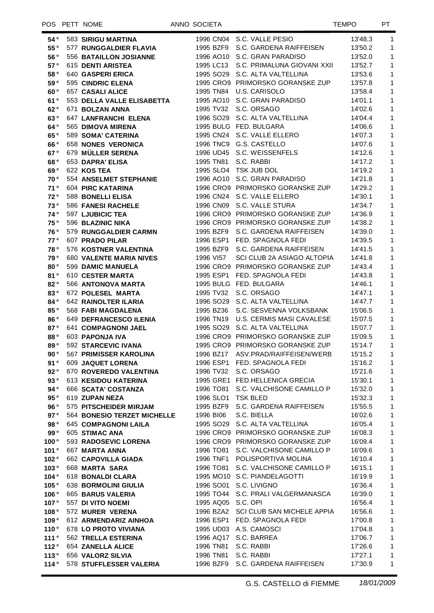#### POS PETT NOME ANNO SOCIETA AND SOCIETA

| 54°            | 583 SIRIGU MARTINA                 |                    | 1996 CN04 S.C. VALLE PESIO            | 13'48.3            | 1            |
|----------------|------------------------------------|--------------------|---------------------------------------|--------------------|--------------|
| 55°            | 577 RUNGGALDIER FLAVIA             |                    | 1995 BZF9 S.C. GARDENA RAIFFEISEN     | 13'50.2            | $\mathbf{1}$ |
| 56°            | 556 BATAILLON JOSIANNE             |                    | 1996 AO10 S.C. GRAN PARADISO          | 13'52.0            | $\mathbf{1}$ |
| 57°            | 615 DENTI ARISTEA                  |                    | 1995 LC13 S.C. PRIMALUNA GIOVANI XXII | 13'52.7            | $\mathbf{1}$ |
| 58°            | 640 GASPERI ERICA                  |                    | 1995 SO29 S.C. ALTA VALTELLINA        | 13'53.6            | $\mathbf{1}$ |
| 59°            | 595 CINDRIC ELENA                  |                    | 1995 CRO9 PRIMORSKO GORANSKE ZUP      | 13'57.8            | $\mathbf{1}$ |
| 60°            | <b>657 CASALI ALICE</b>            |                    | 1995 TN84 U.S. CARISOLO               | 13'58.4            | $\mathbf{1}$ |
| 61°            | 553 DELLA VALLE ELISABETTA         |                    | 1995 AO10 S.C. GRAN PARADISO          | 14'01.1            | $\mathbf{1}$ |
| 62°            | 671 BOLZAN ANNA                    |                    | 1995 TV32 S.C. ORSAGO                 | 14'02.6            | $\mathbf{1}$ |
| 63°            | 647 LANFRANCHI ELENA               |                    | 1996 SO29 S.C. ALTA VALTELLINA        | 14'04.4            | $\mathbf{1}$ |
| 64°            | 565 DIMOVA MIRENA                  |                    | 1995 BULG FED. BULGARA                | 14'06.6            | $\mathbf{1}$ |
| 65°            | <b>589 SOMA' CATERINA</b>          |                    | 1995 CN24 S.C. VALLE ELLERO           | 14'07.3            | $\mathbf{1}$ |
| 66°            | 658 NONES VERONICA                 |                    | 1996 TNC9 G.S. CASTELLO               |                    | $\mathbf{1}$ |
|                |                                    |                    |                                       | 14'07.6            |              |
| 67°            | 679 MÜLLER SERENA                  |                    | 1996 UD45 S.C. WEISSENFELS            | 14'12.6            | $\mathbf{1}$ |
| 68°            | 653 DAPRA' ELISA                   |                    | 1995 TN81 S.C. RABBI                  | 14'17.2            | $\mathbf{1}$ |
| 69°            | 622 KOS TEA                        |                    | 1995 SLO4 TSK JUB DOL                 | 14'19.2            | $\mathbf{1}$ |
| 70°            | 554 ANSELMET STEPHANIE             |                    | 1996 AO10 S.C. GRAN PARADISO          | 14'21.8            | $\mathbf{1}$ |
| 71°            | 604 PIRC KATARINA                  |                    | 1996 CRO9 PRIMORSKO GORANSKE ZUP      | 14'29.2            | $\mathbf{1}$ |
| 72°            | 588 BONELLI ELISA                  |                    | 1996 CN24 S.C. VALLE ELLERO           | 14'30.1            | $\mathbf{1}$ |
| 73°            | 586 FANESI RACHELE                 |                    | 1996 CN09 S.C. VALLE STURA            | 14'34.7            | $\mathbf{1}$ |
| 74°            | 597 LJUBICIC TEA                   |                    | 1996 CRO9 PRIMORSKO GORANSKE ZUP      | 14'36.9            | $\mathbf{1}$ |
| 75°            | 596 BLAZINIC NIKA                  |                    | 1996 CRO9 PRIMORSKO GORANSKE ZUP      | 14'38.2            | $\mathbf{1}$ |
| 76°            | 579 RUNGGALDIER CARMN              |                    | 1995 BZF9 S.C. GARDENA RAIFFEISEN     | 14'39.0            | $\mathbf{1}$ |
| 77°            | 607 PRADO PILAR                    |                    | 1996 ESP1 FED. SPAGNOLA FEDI          | 14'39.5            | $\mathbf{1}$ |
| 78°            | 576 KOSTNER VALENTINA              |                    | 1995 BZF9 S.C. GARDENA RAIFFEISEN     | 14'41.5            | $\mathbf{1}$ |
| 79°            | <b>680 VALENTE MARIA NIVES</b>     | 1996 VI57          | SCI CLUB 2A ASIAGO ALTOPIA            | 14'41.8            | $\mathbf{1}$ |
| 80°            | 599 DAMIC MANUELA                  |                    | 1996 CRO9 PRIMORSKO GORANSKE ZUP      | 14'43.4            | $\mathbf{1}$ |
| 81°            | 610 CESTER MARTA                   |                    | 1995 ESP1 FED. SPAGNOLA FEDI          | 14'43.8            | $\mathbf{1}$ |
| 82°            | 566 ANTONOVA MARTA                 |                    | 1995 BULG FED. BULGARA                | 14'46.1            | $\mathbf{1}$ |
| 83°            | 672 POLESEL MARTA                  |                    | 1995 TV32 S.C. ORSAGO                 | 14'47.1            | $\mathbf{1}$ |
| 84°            | 642 RAINOLTER ILARIA               |                    | 1996 SO29 S.C. ALTA VALTELLINA        | 14'47.7            | $\mathbf{1}$ |
| 85°            | <b>568 FABI MAGDALENA</b>          |                    | 1995 BZ36 S.C. SESVENNA VOLKSBANK     | 15'06.5            | $\mathbf{1}$ |
| 86°            | 649 DEFRANCESCO ILENIA             |                    | 1996 TN19 U.S. CERMIS MASI CAVALESE   | 15'07.5            | $\mathbf{1}$ |
| 87°            | <b>641 COMPAGNONI JAEL</b>         |                    | 1995 SO29 S.C. ALTA VALTELLINA        | 15'07.7            | $\mathbf{1}$ |
| 88°            | 603 PAPONJA IVA                    |                    | 1996 CRO9 PRIMORSKO GORANSKE ZUP      | 15'09.5            | $\mathbf{1}$ |
| 89°            | 592 STARCEVIC IVANA                |                    | 1995 CRO9 PRIMORSKO GORANSKE ZUP      | 15'14.7            | $\mathbf{1}$ |
| 90°            | <b>567 PRIMISSER KAROLINA</b>      |                    | 1996 BZ17 ASV.PRAD/RAIFFEISEN/WERB    | 15'15.2            | $\mathbf{1}$ |
| 91°            | 609 JAQUET LORENA                  |                    | 1996 ESP1 FED. SPAGNOLA FEDI          | 15'16.2            | $\mathbf{1}$ |
| 92°            | 670 ROVEREDO VALENTINA             |                    | 1996 TV32 S.C. ORSAGO                 | 15'21.6            | 1            |
| 93 $^{\circ}$  | 613 KESIDOU KATERINA               |                    | 1995 GRE1 FED.HELLENICA GRECIA        | 15'30.1            | 1            |
| 94°            | 666 SCATA' COSTANZA                |                    | 1996 TO81 S.C. VALCHISONE CAMILLO P   | 15'32.0            | 1            |
| 95 $^{\circ}$  | 619 ZUPAN NEZA                     | 1996 SLO1 TSK BLED |                                       | 15'32.3            | 1            |
| 96 $^{\circ}$  | 575 PITSCHEIDER MIRJAM             |                    | 1995 BZF9 S.C. GARDENA RAIFFEISEN     | 15'55.5            | 1            |
| 97°            | <b>564 BONESIO TERZET MICHELLE</b> | 1996 BI06          | S.C. BIELLA                           | 16'02.6            | 1            |
| 98 $^{\circ}$  | <b>645 COMPAGNONI LAILA</b>        |                    | 1995 SO29 S.C. ALTA VALTELLINA        | 16'05.4            | 1            |
| 99°            |                                    |                    | 1996 CRO9 PRIMORSKO GORANSKE ZUP      |                    |              |
|                | 605 STIMAC ANA                     |                    | 1996 CRO9 PRIMORSKO GORANSKE ZUP      | 16'08.3<br>16'09.4 | 1            |
| 100°           | 593 RADOSEVIC LORENA               |                    |                                       |                    | 1            |
| 101°           | 667 MARTA ANNA                     |                    | 1996 TO81 S.C. VALCHISONE CAMILLO P   | 16'09.6            | 1            |
| 102°           | 662 CAPOVILLA GIADA                |                    | 1996 TNF1 POLISPORTIVA MOLINA         | 16'10.4            | 1            |
| 103°           | 668 MARTA SARA                     |                    | 1996 TO81 S.C. VALCHISONE CAMILLO P   | 16'15.1            | 1            |
| 104°           | 618 BONALDI CLARA                  |                    | 1995 MO10 S.C. PIANDELAGOTTI          | 16'19.9            | 1            |
| 105°           | 638 BORMOLINI GIULIA               |                    | 1996 SO01 S.C. LIVIGNO                | 16'36.4            | 1            |
| 106 $^{\circ}$ | 665 BARUS VALERIA                  |                    | 1995 TO44 S.C. PRALI VALGERMANASCA    | 16'39.0            | 1            |
| 107°           | 557 DI VITO NOEMI                  | 1995 AQ05 S.C. OPI |                                       | 16'56.4            | 1            |
| 108°           | 572 MURER VERENA                   |                    | 1996 BZA2 SCI CLUB SAN MICHELE APPIA  | 16'56.6            | 1            |
| 109°           | 612 ARMENDARIZ AINHOA              |                    | 1996 ESP1 FED. SPAGNOLA FEDI          | 17'00.8            | 1            |
| 110°           | 678 LO PROTO VIVIANA               |                    | 1995 UD03 A.S. CAMOSCI                | 17'04.8            | 1            |
| 111°           | 562 TRELLA ESTERINA                |                    | 1996 AQ17 S.C. BARREA                 | 17'06.7            | 1            |
| 112°           | 654 ZANELLA ALICE                  |                    | 1996 TN81 S.C. RABBI                  | 17'26.6            | 1            |
| 113°           | 656 VALORZ SILVIA                  |                    | 1996 TN81 S.C. RABBI                  | 17'27.1            | 1            |
| 114°           | 578 STUFFLESSER VALERIA            |                    | 1996 BZF9 S.C. GARDENA RAIFFEISEN     | 17'30.9            | 1            |
|                |                                    |                    |                                       |                    |              |